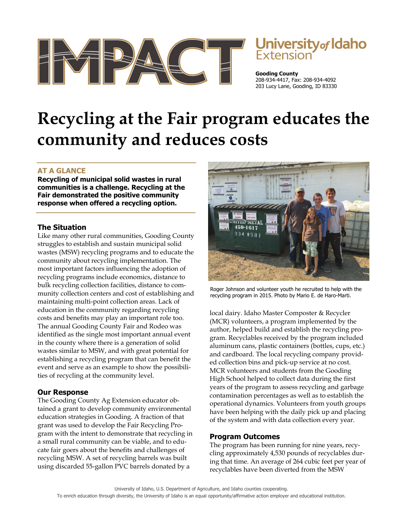

# Jniversity<sub>of</sub> Idaho

**Gooding County**  208-934-4417, Fax: 208-934-4092 203 Lucy Lane, Gooding, ID 83330

# **Recycling at the Fair program educates the community and reduces costs**

## **AT A GLANCE**

**Recycling of municipal solid wastes in rural communities is a challenge. Recycling at the Fair demonstrated the positive community response when offered a recycling option.** 

#### **The Situation**

Like many other rural communities, Gooding County struggles to establish and sustain municipal solid wastes (MSW) recycling programs and to educate the community about recycling implementation. The most important factors influencing the adoption of recycling programs include economics, distance to bulk recycling collection facilities, distance to community collection centers and cost of establishing and maintaining multi-point collection areas. Lack of education in the community regarding recycling costs and benefits may play an important role too. The annual Gooding County Fair and Rodeo was identified as the single most important annual event in the county where there is a generation of solid wastes similar to MSW, and with great potential for establishing a recycling program that can benefit the event and serve as an example to show the possibilities of recycling at the community level.

### **Our Response**

The Gooding County Ag Extension educator obtained a grant to develop community environmental education strategies in Gooding. A fraction of that grant was used to develop the Fair Recycling Program with the intent to demonstrate that recycling in a small rural community can be viable, and to educate fair goers about the benefits and challenges of recycling MSW. A set of recycling barrels was built using discarded 55-gallon PVC barrels donated by a



Roger Johnson and volunteer youth he recruited to help with the recycling program in 2015. Photo by Mario E. de Haro-Marti.

local dairy. Idaho Master Composter & Recycler (MCR) volunteers, a program implemented by the author, helped build and establish the recycling program. Recyclables received by the program included aluminum cans, plastic containers (bottles, cups, etc.) and cardboard. The local recycling company provided collection bins and pick-up service at no cost. MCR volunteers and students from the Gooding High School helped to collect data during the first years of the program to assess recycling and garbage contamination percentages as well as to establish the operational dynamics. Volunteers from youth groups have been helping with the daily pick up and placing of the system and with data collection every year.

#### **Program Outcomes**

The program has been running for nine years, recycling approximately 4,530 pounds of recyclables during that time. An average of 264 cubic feet per year of recyclables have been diverted from the MSW